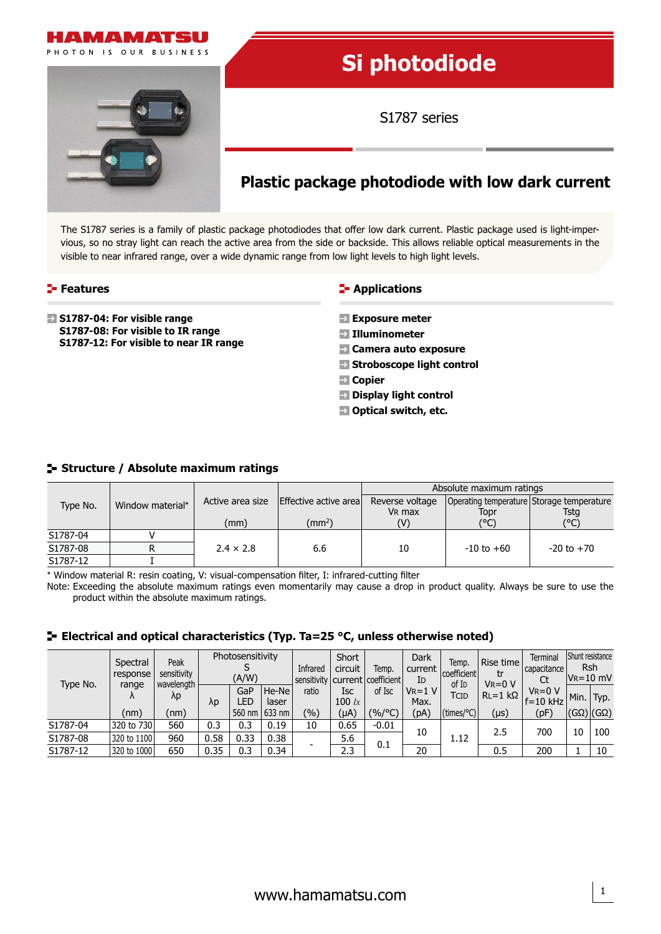

# **Si photodiode**

S1787 series

# **Plastic package photodiode with low dark current**

The S1787 series is a family of plastic package photodiodes that offer low dark current. Plastic package used is light-impervious, so no stray light can reach the active area from the side or backside. This allows reliable optical measurements in the visible to near infrared range, over a wide dynamic range from low light levels to high light levels.

# **Features**

**S1787-04: For visible range S1787-08: For visible to IR range S1787-12: For visible to near IR range**

# **E-** Applications

- **Exposure meter**
- **Illuminometer**
- **Camera auto exposure**
- **Stroboscope light control**
- **Copier**
- **Display light control**
- $\blacksquare$  Optical switch, etc.

### **Structure / Absolute maximum ratings**

|          | Window material* |                  |                       | Absolute maximum ratings |                |                                           |  |  |
|----------|------------------|------------------|-----------------------|--------------------------|----------------|-------------------------------------------|--|--|
| Type No. |                  | Active area size | Effective active area | Reverse voltage          |                | Operating temperature Storage temperature |  |  |
|          |                  |                  |                       | V <sub>R</sub> max       | Topr           | <b>Tstg</b>                               |  |  |
|          |                  | (mm)             | $\text{m}^2$          | (V)                      | (°C)           | (°C)                                      |  |  |
| S1787-04 |                  |                  |                       |                          |                |                                           |  |  |
| S1787-08 |                  | $2.4 \times 2.8$ | 6.6                   | 10                       | $-10$ to $+60$ | $-20$ to $+70$                            |  |  |
| S1787-12 |                  |                  |                       |                          |                |                                           |  |  |

\* Window material R: resin coating, V: visual-compensation filter, I: infrared-cutting filter

Note: Exceeding the absolute maximum ratings even momentarily may cause a drop in product quality. Always be sure to use the product within the absolute maximum ratings.

# **Electrical and optical characteristics (Typ. Ta=25 °C, unless otherwise noted)**

| Type No. | Spectral<br>response<br>range<br>$\Lambda$<br>(nm) | Peak<br>sensitivity<br>wavelength<br>λp<br>(nm) | Photosensitivity<br>(A/W) |                             | Infrared                 | Short<br>circuit | Temp.<br>sensitivity   current   coefficient | Dark<br>current<br>ID | Temp.<br>coefficient        | Rise time<br>tr<br>$V_R = 0 V$          | Terminal<br>capacitance<br>Ct | Shunt resistance<br><b>Rsh</b><br>$V = 10$ mV |    |                                       |
|----------|----------------------------------------------------|-------------------------------------------------|---------------------------|-----------------------------|--------------------------|------------------|----------------------------------------------|-----------------------|-----------------------------|-----------------------------------------|-------------------------------|-----------------------------------------------|----|---------------------------------------|
|          |                                                    |                                                 | $\lambda p$               | GaP<br><b>LED</b><br>560 nm | He-Ne<br>laser<br>633 nm | ratio<br>(%)     | Isc<br>100 $\mathit{lx}$<br>(µA)             | of Isc<br>$(%$ /°C)   | $V_R = 1 V$<br>Max.<br>(pA) | of I <sub>D</sub><br>TCID<br>(times/°C) | $RL = 1 k\Omega$              | $V_R = 0 V$<br>$f = 10$ kHz<br>(pF)           |    | Min.   Typ.<br>$ (G\Omega) (G\Omega)$ |
|          |                                                    |                                                 |                           |                             |                          |                  |                                              |                       |                             |                                         | (µs)                          |                                               |    |                                       |
| S1787-04 | 320 to 730                                         | 560                                             | 0.3                       | 0.3                         | 0.19                     | 10               | 0.65                                         | $-0.01$               | 10                          |                                         | 2.5                           | 700                                           | 10 | 100                                   |
| S1787-08 | 320 to 1100                                        | 960                                             | 0.58                      | 0.33                        | 0.38                     |                  | 5.6                                          | 0.1                   |                             | 1.12                                    |                               |                                               |    |                                       |
| S1787-12 | 320 to 1000                                        | 650                                             | 0.35                      | 0.3                         | 0.34                     |                  | 2.3                                          |                       | 20                          |                                         | 0.5                           | 200                                           |    | 10                                    |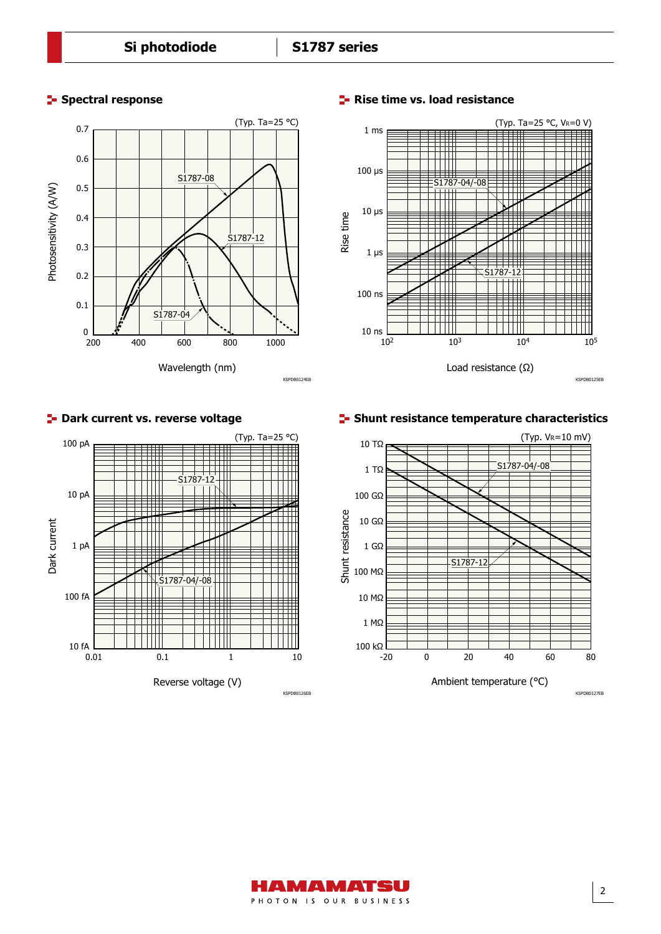



# **Spectral response Rise time vs. load resistance**

# **Dark current vs. reverse voltage Shunt resistance temperature characteristics**